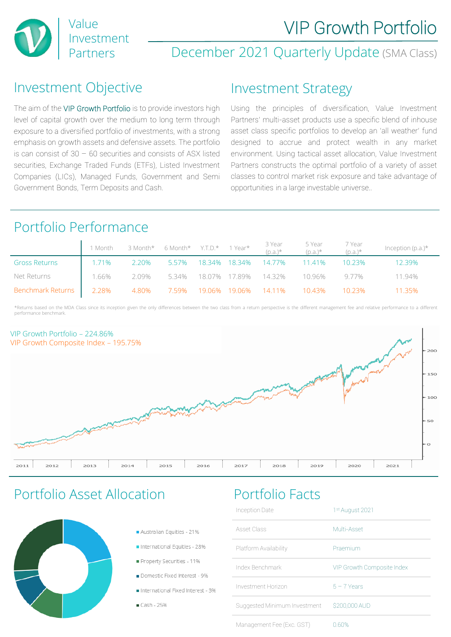

## December 2021 Quarterly Update (SMA Class)

### Investment Objective

The aim of the VIP Growth Portfolio is to provide investors high level of capital growth over the medium to long term through exposure to a diversified portfolio of investments, with a strong emphasis on growth assets and defensive assets. The portfolio is can consist of 30 – 60 securities and consists of ASX listed securities, Exchange Traded Funds (ETFs), Listed Investment Companies (LICs), Managed Funds, Government and Semi Government Bonds, Term Deposits and Cash.

### Investment Strategy

Using the principles of diversification, Value Investment Partners' multi-asset products use a specific blend of inhouse asset class specific portfolios to develop an 'all weather' fund designed to accrue and protect wealth in any market environment. Using tactical asset allocation, Value Investment Partners constructs the optimal portfolio of a variety of asset classes to control market risk exposure and take advantage of opportunities in a large investable universe..

## Portfolio Performance

|                         |          | 1 Month 3 Month* 6 Month* Y.T.D.* 1 Year* |       |  | 3 Year<br>(p.a.)* | 5 Year<br>(p.a.)*                             | 7 Year<br>(p.a.)* | Inception $(p.a.)^*$ |
|-------------------------|----------|-------------------------------------------|-------|--|-------------------|-----------------------------------------------|-------------------|----------------------|
| <b>Gross Returns</b>    | 1.71%    |                                           |       |  |                   | 2.20%  5.57%  18.34% 18.34%  14.77%   11.41%  | 10.23%            | 12.39%               |
| Net Returns             | $1.66\%$ |                                           |       |  |                   | 2.09% 5.34% 18.07% 17.89% 14.32% 10.96% 9.77% |                   | 11 94%               |
| Benchmark Returns 2.28% |          | 4.80%                                     | 7.59% |  |                   | 19.06% 19.06%  14.11%   10.43%                | 10 23%            | 11 35%               |

\*Returns based on the MDA Class since its inception given the only differences between the two class from a return perspective is the different management fee and relative performance to a different performance benchmark.



## Portfolio Asset Allocation Portfolio Facts



- Australian Fourties 21%
- International Foulties 28%
- Property Securities 11%
- Domestic Fixed Interest 9%
- International Fixed Interest 3%
- Cash 25%

| Inception Date               | 1 <sup>st</sup> August 2021 |
|------------------------------|-----------------------------|
| Asset Class                  | Multi-Asset                 |
| Platform Availability        | Praemium                    |
| Index Benchmark              | VIP Growth Composite Index  |
| Investment Horizon           | $5 - 7$ Years               |
| Suggested Minimum Investment | \$200,000 AUD               |
| Management Fee (Exc. GST)    | 0.60%                       |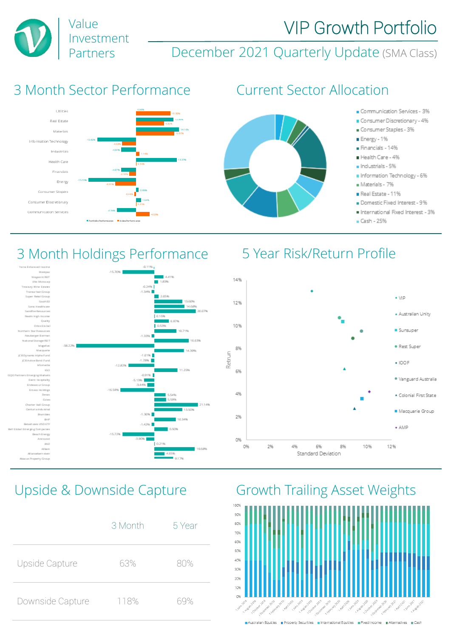



# 3 Month Sector Performance Current Sector Allocation

Investment

Value





# 3 Month Holdings Performance 5 Year Risk/Return Profile





|                  | 3 Month | 5 Year |
|------------------|---------|--------|
| Upside Capture   | 63%     | 80%    |
| Downside Capture | 118%    | 69%    |



Australian Equities | Property Securities | International Equities | Fixed Income | Alternatives | Cash